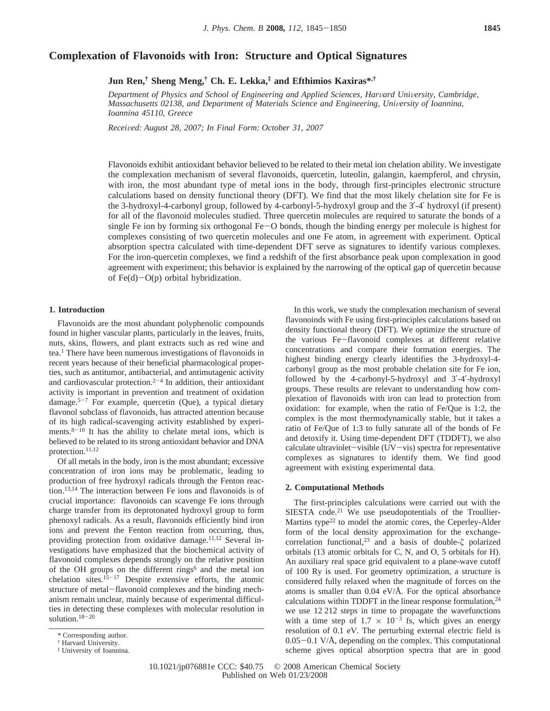# **Complexation of Flavonoids with Iron: Structure and Optical Signatures**

**Jun Ren,† Sheng Meng,† Ch. E. Lekka,‡ and Efthimios Kaxiras\*,†**

*Department of Physics and School of Engineering and Applied Sciences, Harvard University, Cambridge, Massachusetts 02138, and Department of Materials Science and Engineering, University of Ioannina, Ioannina 45110, Greece*

*Recei*V*ed: August 28, 2007; In Final Form: October 31, 2007*

Flavonoids exhibit antioxidant behavior believed to be related to their metal ion chelation ability. We investigate the complexation mechanism of several flavonoids, quercetin, luteolin, galangin, kaempferol, and chrysin, with iron, the most abundant type of metal ions in the body, through first-principles electronic structure calculations based on density functional theory (DFT). We find that the most likely chelation site for Fe is the 3-hydroxyl-4-carbonyl group, followed by 4-carbonyl-5-hydroxyl group and the 3′-4′ hydroxyl (if present) for all of the flavonoid molecules studied. Three quercetin molecules are required to saturate the bonds of a single Fe ion by forming six orthogonal Fe-O bonds, though the binding energy per molecule is highest for complexes consisting of two quercetin molecules and one Fe atom, in agreement with experiment. Optical absorption spectra calculated with time-dependent DFT serve as signatures to identify various complexes. For the iron-quercetin complexes, we find a redshift of the first absorbance peak upon complexation in good agreement with experiment; this behavior is explained by the narrowing of the optical gap of quercetin because of  $Fe(d)-O(p)$  orbital hybridization.

## **1. Introduction**

Flavonoids are the most abundant polyphenolic compounds found in higher vascular plants, particularly in the leaves, fruits, nuts, skins, flowers, and plant extracts such as red wine and tea.1 There have been numerous investigations of flavonoids in recent years because of their beneficial pharmacological properties, such as antitumor, antibacterial, and antimutagenic activity and cardiovascular protection. $2^{-4}$  In addition, their antioxidant activity is important in prevention and treatment of oxidation damage.<sup>5-7</sup> For example, quercetin (Que), a typical dietary flavonol subclass of flavonoids, has attracted attention because of its high radical-scavenging activity established by experiments. $8-10$  It has the ability to chelate metal ions, which is believed to be related to its strong antioxidant behavior and DNA protection.<sup>11,12</sup>

Of all metals in the body, iron is the most abundant; excessive concentration of iron ions may be problematic, leading to production of free hydroxyl radicals through the Fenton reaction.13,14 The interaction between Fe ions and flavonoids is of crucial importance: flavonoids can scavenge Fe ions through charge transfer from its deprotonated hydroxyl group to form phenoxyl radicals. As a result, flavonoids efficiently bind iron ions and prevent the Fenton reaction from occurring, thus, providing protection from oxidative damage.11,12 Several investigations have emphasized that the biochemical activity of flavonoid complexes depends strongly on the relative position of the OH groups on the different rings<sup>6</sup> and the metal ion chelation sites.<sup>15-17</sup> Despite extensive efforts, the atomic structure of metal-flavonoid complexes and the binding mechanism remain unclear, mainly because of experimental difficulties in detecting these complexes with molecular resolution in solution.18-<sup>20</sup>

In this work, we study the complexation mechanism of several flavonoinds with Fe using first-principles calculations based on density functional theory (DFT). We optimize the structure of the various Fe-flavonoid complexes at different relative concentrations and compare their formation energies. The highest binding energy clearly identifies the 3-hydroxyl-4 carbonyl group as the most probable chelation site for Fe ion, followed by the 4-carbonyl-5-hydroxyl and 3′-4′-hydroxyl groups. These results are relevant to understanding how complexation of flavonoids with iron can lead to protection from oxidation: for example, when the ratio of Fe/Que is 1:2, the complex is the most thermodynamically stable, but it takes a ratio of Fe/Que of 1:3 to fully saturate all of the bonds of Fe and detoxify it. Using time-dependent DFT (TDDFT), we also calculate ultraviolet-visible  $(UV - vis)$  spectra for representative complexes as signatures to identify them. We find good agreement with existing experimental data.

## **2. Computational Methods**

The first-principles calculations were carried out with the SIESTA code.<sup>21</sup> We use pseudopotentials of the Troullier-Martins type<sup>22</sup> to model the atomic cores, the Ceperley-Alder form of the local density approximation for the exchangecorrelation functional,23 and a basis of double-*ú* polarized orbitals (13 atomic orbitals for C, N, and O, 5 orbitals for H). An auxiliary real space grid equivalent to a plane-wave cutoff of 100 Ry is used. For geometry optimization, a structure is considered fully relaxed when the magnitude of forces on the atoms is smaller than  $0.04 \text{ eV/A}$ . For the optical absorbance calculations within TDDFT in the linear response formulation, $24$ we use 12 212 steps in time to propagate the wavefunctions with a time step of  $1.7 \times 10^{-3}$  fs, which gives an energy resolution of 0.1 eV. The perturbing external electric field is  $0.05-0.1$  V/ $\AA$ , depending on the complex. This computational scheme gives optical absorption spectra that are in good

<sup>\*</sup> Corresponding author.

<sup>†</sup> Harvard University.

<sup>‡</sup> University of Ioannina.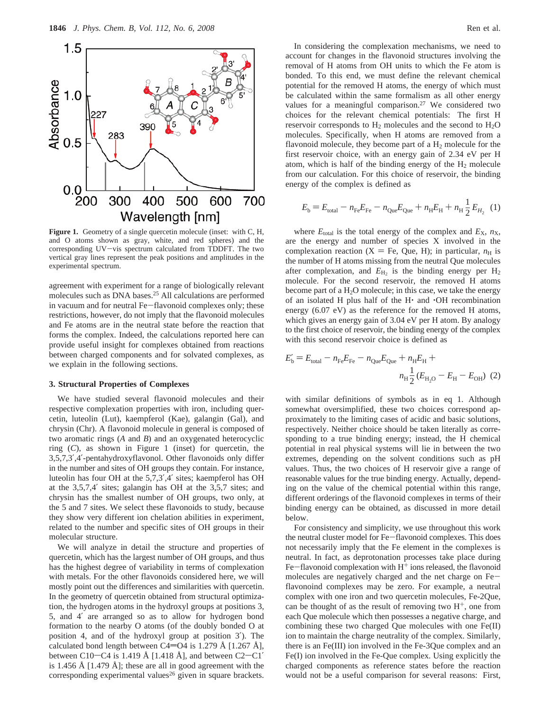

Figure 1. Geometry of a single quercetin molecule (inset: with C, H, and O atoms shown as gray, white, and red spheres) and the corresponding UV-vis spectrum calculated from TDDFT. The two vertical gray lines represent the peak positions and amplitudes in the experimental spectrum.

agreement with experiment for a range of biologically relevant molecules such as DNA bases.25 All calculations are performed in vacuum and for neutral Fe-flavonoid complexes only; these restrictions, however, do not imply that the flavonoid molecules and Fe atoms are in the neutral state before the reaction that forms the complex. Indeed, the calculations reported here can provide useful insight for complexes obtained from reactions between charged components and for solvated complexes, as we explain in the following sections.

## **3. Structural Properties of Complexes**

We have studied several flavonoid molecules and their respective complexation properties with iron, including quercetin, luteolin (Lut), kaempferol (Kae), galangin (Gal), and chrysin (Chr). A flavonoid molecule in general is composed of two aromatic rings (*A* and *B*) and an oxygenated heterocyclic ring (*C*), as shown in Figure 1 (inset) for quercetin, the 3,5,7,3′,4′-pentahydroxyflavonol. Other flavonoids only differ in the number and sites of OH groups they contain. For instance, luteolin has four OH at the 5,7,3′,4′ sites; kaempferol has OH at the 3,5,7,4′ sites; galangin has OH at the 3,5,7 sites; and chrysin has the smallest number of OH groups, two only, at the 5 and 7 sites. We select these flavonoids to study, because they show very different ion chelation abilities in experiment, related to the number and specific sites of OH groups in their molecular structure.

We will analyze in detail the structure and properties of quercetin, which has the largest number of OH groups, and thus has the highest degree of variability in terms of complexation with metals. For the other flavonoids considered here, we will mostly point out the differences and similarities with quercetin. In the geometry of quercetin obtained from structural optimization, the hydrogen atoms in the hydroxyl groups at positions 3, 5, and 4′ are arranged so as to allow for hydrogen bond formation to the nearby O atoms (of the doubly bonded O at position 4, and of the hydroxyl group at position 3′). The calculated bond length between C4=O4 is 1.279 Å [1.267 Å], between C10 $\sim$ C4 is 1.419 Å [1.418 Å], and between C2 $\sim$ C1' is 1.456 Å [1.479 Å]; these are all in good agreement with the corresponding experimental values<sup>26</sup> given in square brackets.

In considering the complexation mechanisms, we need to account for changes in the flavonoid structures involving the removal of H atoms from OH units to which the Fe atom is bonded. To this end, we must define the relevant chemical potential for the removed H atoms, the energy of which must be calculated within the same formalism as all other energy values for a meaningful comparison.<sup>27</sup> We considered two choices for the relevant chemical potentials: The first H reservoir corresponds to  $H_2$  molecules and the second to  $H_2O$ molecules. Specifically, when H atoms are removed from a flavonoid molecule, they become part of a  $H_2$  molecule for the first reservoir choice, with an energy gain of 2.34 eV per H atom, which is half of the binding energy of the  $H_2$  molecule from our calculation. For this choice of reservoir, the binding energy of the complex is defined as

$$
E_{\rm b} = E_{\rm total} - n_{\rm Fe} E_{\rm Fe} - n_{\rm Que} E_{\rm Que} + n_{\rm H} E_{\rm H} + n_{\rm H} \frac{1}{2} E_{H_2} \tag{1}
$$

where  $E_{\text{total}}$  is the total energy of the complex and  $E_{\text{X}}$ ,  $n_{\text{X}}$ , are the energy and number of species X involved in the complexation reaction ( $X = Fe$ , Que, H); in particular,  $n_H$  is the number of H atoms missing from the neutral Que molecules after complexation, and  $E_{\text{H}_2}$  is the binding energy per  $\text{H}_2$ molecule. For the second reservoir, the removed H atoms become part of a  $H_2O$  molecule; in this case, we take the energy of an isolated H plus half of the H' and 'OH recombination energy (6.07 eV) as the reference for the removed H atoms, which gives an energy gain of 3.04 eV per H atom. By analogy to the first choice of reservoir, the binding energy of the complex with this second reservoir choice is defined as

$$
E'_{\rm b} = E_{\rm total} - n_{\rm Fe} E_{\rm Fe} - n_{\rm Que} E_{\rm Que} + n_{\rm H} E_{\rm H} +
$$

$$
n_{\rm H} \frac{1}{2} \left( E_{\rm H_2O} - E_{\rm H} - E_{\rm OH} \right) (2)
$$

with similar definitions of symbols as in eq 1. Although somewhat oversimplified, these two choices correspond approximately to the limiting cases of acidic and basic solutions, respectively. Neither choice should be taken literally as corresponding to a true binding energy; instead, the H chemical potential in real physical systems will lie in between the two extremes, depending on the solvent conditions such as pH values. Thus, the two choices of H reservoir give a range of reasonable values for the true binding energy. Actually, depending on the value of the chemical potential within this range, different orderings of the flavonoid complexes in terms of their binding energy can be obtained, as discussed in more detail below.

For consistency and simplicity, we use throughout this work the neutral cluster model for Fe-flavonoid complexes. This does not necessarily imply that the Fe element in the complexes is neutral. In fact, as deprotonation processes take place during  $Fe$ -flavonoid complexation with  $H^+$  ions released, the flavonoid molecules are negatively charged and the net charge on Feflavonoind complexes may be zero. For example, a neutral complex with one iron and two quercetin molecules, Fe-2Que, can be thought of as the result of removing two  $H^+$ , one from each Que molecule which then possesses a negative charge, and combining these two charged Que molecules with one Fe(II) ion to maintain the charge neutrality of the complex. Similarly, there is an Fe(III) ion involved in the Fe-3Que complex and an Fe(I) ion involved in the Fe-Que complex. Using explicitly the charged components as reference states before the reaction would not be a useful comparison for several reasons: First,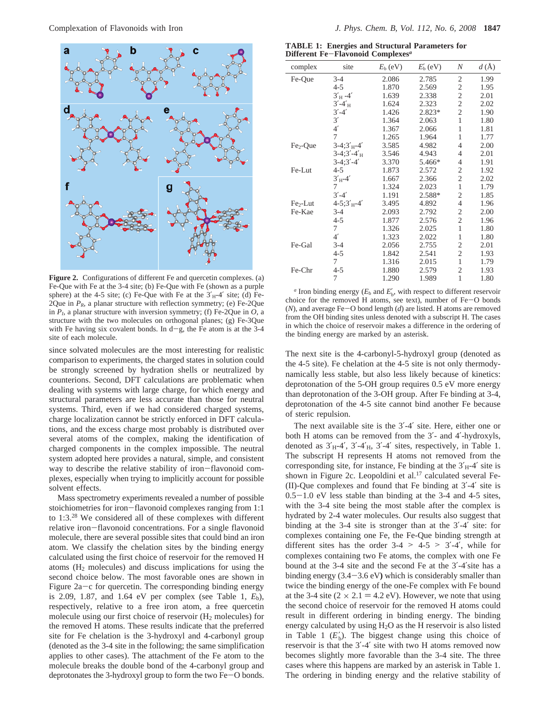

**Figure 2.** Configurations of different Fe and quercetin complexes. (a) Fe-Que with Fe at the 3-4 site; (b) Fe-Que with Fe (shown as a purple sphere) at the 4-5 site; (c) Fe-Que with Fe at the  $3'_{H}$ -4' site; (d) Fe- $2Q$ ue in  $P_R$ , a planar structure with reflection symmetry; (e) Fe-2Que in  $P<sub>I</sub>$ , a planar structure with inversion symmetry; (f) Fe-2Que in  $O$ , a structure with the two molecules on orthogonal planes; (g) Fe-3Que with Fe having six covalent bonds. In  $d-g$ , the Fe atom is at the 3-4 site of each molecule.

since solvated molecules are the most interesting for realistic comparison to experiments, the charged states in solution could be strongly screened by hydration shells or neutralized by counterions. Second, DFT calculations are problematic when dealing with systems with large charge, for which energy and structural parameters are less accurate than those for neutral systems. Third, even if we had considered charged systems, charge localization cannot be strictly enforced in DFT calculations, and the excess charge most probably is distributed over several atoms of the complex, making the identification of charged components in the complex impossible. The neutral system adopted here provides a natural, simple, and consistent way to describe the relative stability of iron-flavonoid complexes, especially when trying to implicitly account for possible solvent effects.

Mass spectrometry experiments revealed a number of possible stoichiometries for iron-flavonoid complexes ranging from 1:1 to 1:3.28 We considered all of these complexes with different relative iron-flavonoid concentrations. For a single flavonoid molecule, there are several possible sites that could bind an iron atom. We classify the chelation sites by the binding energy calculated using the first choice of reservoir for the removed H atoms (H2 molecules) and discuss implications for using the second choice below. The most favorable ones are shown in Figure  $2a-c$  for quercetin. The corresponding binding energy is 2.09, 1.87, and 1.64 eV per complex (see Table 1,  $E_b$ ), respectively, relative to a free iron atom, a free quercetin molecule using our first choice of reservoir  $(H_2)$  molecules) for the removed H atoms. These results indicate that the preferred site for Fe chelation is the 3-hydroxyl and 4-carbonyl group (denoted as the 3-4 site in the following; the same simplification applies to other cases). The attachment of the Fe atom to the molecule breaks the double bond of the 4-carbonyl group and deprotonates the 3-hydroxyl group to form the two Fe-O bonds.

**TABLE 1: Energies and Structural Parameters for Different Fe**-**Flavonoid Complexes***<sup>a</sup>*

| complex   | site                | $E_{\rm b}$ (eV) | $E'_{b}$ (eV) | N              | $d(\AA)$ |
|-----------|---------------------|------------------|---------------|----------------|----------|
| Fe-Que    | $3 - 4$             | 2.086            | 2.785         | 2              | 1.99     |
|           | $4 - 5$             | 1.870            | 2.569         | $\mathfrak{2}$ | 1.95     |
|           | $3'_{\text{H}} -4'$ | 1.639            | 2.338         | $\overline{2}$ | 2.01     |
|           | $3' - 4'_{\rm H}$   | 1.624            | 2.323         | $\overline{2}$ | 2.02     |
|           | $3' - 4'$           | 1.426            | 2.823*        | $\overline{2}$ | 1.90     |
|           | 3'                  | 1.364            | 2.063         | 1              | 1.80     |
|           | 4'                  | 1.367            | 2.066         | 1              | 1.81     |
|           | 7                   | 1.265            | 1.964         | $\mathbf{1}$   | 1.77     |
| $Fe2-Que$ | $3-4;3'_{H}-4'$     | 3.585            | 4.982         | 4              | 2.00     |
|           | $3-4:3'-4'_{H}$     | 3.546            | 4.943         | 4              | 2.01     |
|           | $3-4:3'-4'$         | 3.370            | 5.466*        | 4              | 1.91     |
| Fe-Lut    | $4 - 5$             | 1.873            | 2.572         | 2              | 1.92     |
|           | $3'_{H}$ -4'        | 1.667            | 2.366         | $\overline{2}$ | 2.02     |
|           | 7                   | 1.324            | 2.023         | 1              | 1.79     |
|           | $3' - 4'$           | 1.191            | 2.588*        | 2              | 1.85     |
| $Fe2-Lut$ | $4 - 5;3'_{H} - 4'$ | 3.495            | 4.892         | $\overline{4}$ | 1.96     |
| Fe-Kae    | $3 - 4$             | 2.093            | 2.792         | $\overline{c}$ | 2.00     |
|           | $4 - 5$             | 1.877            | 2.576         | $\overline{2}$ | 1.96     |
|           | 7                   | 1.326            | 2.025         | 1              | 1.80     |
|           | 4'                  | 1.323            | 2.022         | 1              | 1.80     |
| Fe-Gal    | $3 - 4$             | 2.056            | 2.755         | $\overline{c}$ | 2.01     |
|           | 4-5                 | 1.842            | 2.541         | $\overline{c}$ | 1.93     |
|           | 7                   | 1.316            | 2.015         | 1              | 1.79     |
| Fe-Chr    | 4-5                 | 1.880            | 2.579         | $\overline{c}$ | 1.93     |
|           | 7                   | 1.290            | 1.989         | 1              | 1.80     |
|           |                     |                  |               |                |          |

*a* Iron binding energy  $(E_b \text{ and } E'_b)$ , with respect to different reservoir choice for the removed H atoms, see text), number of Fe-O bonds  $(N)$ , and average Fe-O bond length  $(d)$  are listed. H atoms are removed from the OH binding sites unless denoted with a subscript H. The cases in which the choice of reservoir makes a difference in the ordering of the binding energy are marked by an asterisk.

The next site is the 4-carbonyl-5-hydroxyl group (denoted as the 4-5 site). Fe chelation at the 4-5 site is not only thermodynamically less stable, but also less likely because of kinetics: deprotonation of the 5-OH group requires 0.5 eV more energy than deprotonation of the 3-OH group. After Fe binding at 3-4, deprotonation of the 4-5 site cannot bind another Fe because of steric repulsion.

The next available site is the 3'-4' site. Here, either one or both H atoms can be removed from the 3′- and 4′-hydroxyls, denoted as  $3'_{H}$ -4',  $3'$ -4'<sub>H</sub>,  $3'$ -4' sites, respectively, in Table 1. The subscript H represents H atoms not removed from the corresponding site, for instance, Fe binding at the  $3'_{H}$ -4' site is shown in Figure 2c. Leopoldini et al.<sup>17</sup> calculated several Fe-(II)-Que complexes and found that Fe binding at 3′-4′ site is  $0.5-1.0$  eV less stable than binding at the 3-4 and 4-5 sites, with the 3-4 site being the most stable after the complex is hydrated by 2-4 water molecules. Our results also suggest that binding at the 3-4 site is stronger than at the 3′-4′ site: for complexes containing one Fe, the Fe-Que binding strength at different sites has the order  $3-4 > 4-5 > 3'-4'$ , while for complexes containing two Fe atoms, the complex with one Fe bound at the 3-4 site and the second Fe at the 3′-4′site has a binding energy (3.4-3.6 eV**)** which is considerably smaller than twice the binding energy of the one-Fe complex with Fe bound at the 3-4 site ( $2 \times 2.1 = 4.2$  eV). However, we note that using the second choice of reservoir for the removed H atoms could result in different ordering in binding energy. The binding energy calculated by using  $H_2O$  as the H reservoir is also listed in Table 1  $(E'_b)$ . The biggest change using this choice of reservoir is that the 3′-4′ site with two H atoms removed now becomes slightly more favorable than the 3-4 site. The three cases where this happens are marked by an asterisk in Table 1. The ordering in binding energy and the relative stability of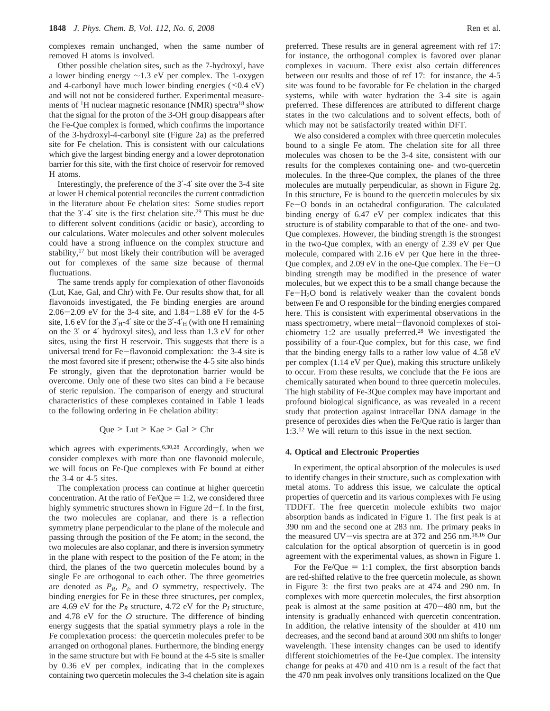complexes remain unchanged, when the same number of removed H atoms is involved.

Other possible chelation sites, such as the 7-hydroxyl, have a lower binding energy ∼1.3 eV per complex. The 1-oxygen and 4-carbonyl have much lower binding energies  $( $0.4 \text{ eV}$ )$ and will not not be considered further. Experimental measurements of <sup>1</sup>H nuclear magnetic resonance (NMR) spectra<sup>18</sup> show that the signal for the proton of the 3-OH group disappears after the Fe-Que complex is formed, which confirms the importance of the 3-hydroxyl-4-carbonyl site (Figure 2a) as the preferred site for Fe chelation. This is consistent with our calculations which give the largest binding energy and a lower deprotonation barrier for this site, with the first choice of reservoir for removed H atoms.

Interestingly, the preference of the 3′-4′ site over the 3-4 site at lower H chemical potential reconciles the current contradiction in the literature about Fe chelation sites: Some studies report that the  $3'$ -4' site is the first chelation site.<sup>29</sup> This must be due to different solvent conditions (acidic or basic), according to our calculations. Water molecules and other solvent molecules could have a strong influence on the complex structure and stability,<sup>17</sup> but most likely their contribution will be averaged out for complexes of the same size because of thermal fluctuations.

The same trends apply for complexation of other flavonoids (Lut, Kae, Gal, and Chr) with Fe. Our results show that, for all flavonoids investigated, the Fe binding energies are around 2.06-2.09 eV for the 3-4 site, and 1.84-1.88 eV for the 4-5 site, 1.6 eV for the  $3'_{H}$ -4' site or the  $3'$ -4'<sub>H</sub> (with one H remaining on the 3′ or 4′ hydroxyl sites), and less than 1.3 eV for other sites, using the first H reservoir. This suggests that there is a universal trend for Fe-flavonoid complexation: the 3-4 site is the most favored site if present; otherwise the 4-5 site also binds Fe strongly, given that the deprotonation barrier would be overcome. Only one of these two sites can bind a Fe because of steric repulsion. The comparison of energy and structural characteristics of these complexes contained in Table 1 leads to the following ordering in Fe chelation ability:

$$
Que > Lut > Kae > Gal > Chr
$$

which agrees with experiments.<sup>6,30,28</sup> Accordingly, when we consider complexes with more than one flavonoid molecule, we will focus on Fe-Que complexes with Fe bound at either the 3-4 or 4-5 sites.

The complexation process can continue at higher quercetin concentration. At the ratio of  $Fe/Que = 1:2$ , we considered three highly symmetric structures shown in Figure 2d-f. In the first, the two molecules are coplanar, and there is a reflection symmetry plane perpendicular to the plane of the molecule and passing through the position of the Fe atom; in the second, the two molecules are also coplanar, and there is inversion symmetry in the plane with respect to the position of the Fe atom; in the third, the planes of the two quercetin molecules bound by a single Fe are orthogonal to each other. The three geometries are denoted as  $P_R$ ,  $P_I$ , and  $O$  symmetry, respectively. The binding energies for Fe in these three structures, per complex, are 4.69 eV for the  $P_R$  structure, 4.72 eV for the  $P_I$  structure, and 4.78 eV for the *O* structure. The difference of binding energy suggests that the spatial symmetry plays a role in the Fe complexation process: the quercetin molecules prefer to be arranged on orthogonal planes. Furthermore, the binding energy in the same structure but with Fe bound at the 4-5 site is smaller by 0.36 eV per complex, indicating that in the complexes containing two quercetin molecules the 3-4 chelation site is again

preferred. These results are in general agreement with ref 17: for instance, the orthogonal complex is favored over planar complexes in vacuum. There exist also certain differences between our results and those of ref 17: for instance, the 4-5 site was found to be favorable for Fe chelation in the charged systems, while with water hydration the 3-4 site is again preferred. These differences are attributed to different charge states in the two calculations and to solvent effects, both of which may not be satisfactorily treated within DFT.

We also considered a complex with three quercetin molecules bound to a single Fe atom. The chelation site for all three molecules was chosen to be the 3-4 site, consistent with our results for the complexes containing one- and two-quercetin molecules. In the three-Que complex, the planes of the three molecules are mutually perpendicular, as shown in Figure 2g. In this structure, Fe is bound to the quercetin molecules by six Fe-O bonds in an octahedral configuration. The calculated binding energy of 6.47 eV per complex indicates that this structure is of stability comparable to that of the one- and two-Que complexes. However, the binding strength is the strongest in the two-Que complex, with an energy of 2.39 eV per Que molecule, compared with 2.16 eV per Que here in the three-Que complex, and 2.09 eV in the one-Que complex. The Fe-O binding strength may be modified in the presence of water molecules, but we expect this to be a small change because the  $Fe-H<sub>2</sub>O$  bond is relatively weaker than the covalent bonds between Fe and O responsible for the binding energies compared here. This is consistent with experimental observations in the mass spectrometry, where metal-flavonoid complexes of stoichiometry 1:2 are usually preferred.28 We investigated the possibility of a four-Que complex, but for this case, we find that the binding energy falls to a rather low value of 4.58 eV per complex (1.14 eV per Que), making this structure unlikely to occur. From these results, we conclude that the Fe ions are chemically saturated when bound to three quercetin molecules. The high stability of Fe-3Que complex may have important and profound biological significance, as was revealed in a recent study that protection against intracellar DNA damage in the presence of peroxides dies when the Fe/Que ratio is larger than 1:3.12 We will return to this issue in the next section.

### **4. Optical and Electronic Properties**

In experiment, the optical absorption of the molecules is used to identify changes in their structure, such as complexation with metal atoms. To address this issue, we calculate the optical properties of quercetin and its various complexes with Fe using TDDFT. The free quercetin molecule exhibits two major absorption bands as indicated in Figure 1. The first peak is at 390 nm and the second one at 283 nm. The primary peaks in the measured UV-vis spectra are at 372 and 256 nm.<sup>18,16</sup> Our calculation for the optical absorption of quercetin is in good agreement with the experimental values, as shown in Figure 1.

For the Fe/Que  $= 1:1$  complex, the first absorption bands are red-shifted relative to the free quercetin molecule, as shown in Figure 3: the first two peaks are at 474 and 290 nm. In complexes with more quercetin molecules, the first absorption peak is almost at the same position at 470-480 nm, but the intensity is gradually enhanced with quercetin concentration. In addition, the relative intensity of the shoulder at 410 nm decreases, and the second band at around 300 nm shifts to longer wavelength. These intensity changes can be used to identify different stoichiometries of the Fe-Que complex. The intensity change for peaks at 470 and 410 nm is a result of the fact that the 470 nm peak involves only transitions localized on the Que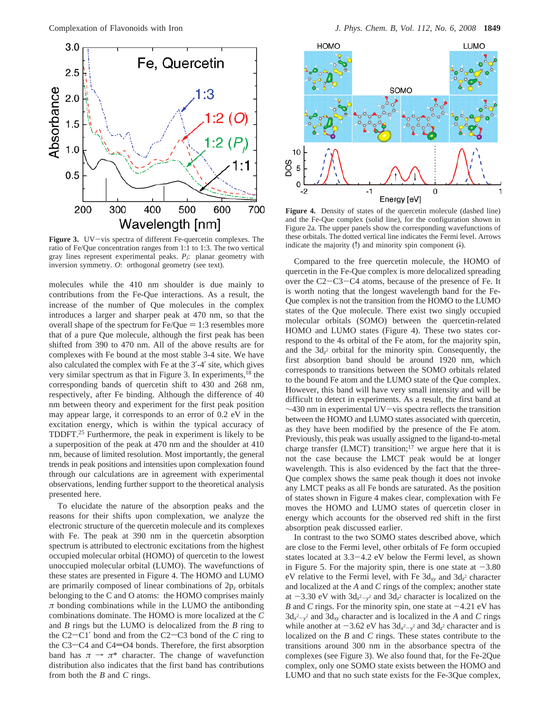

**Figure 3.** UV-vis spectra of different Fe-quercetin complexes. The ratio of Fe/Que concentration ranges from 1:1 to 1:3. The two vertical gray lines represent experimental peaks. *PI*: planar geometry with inversion symmetry. *O*: orthogonal geometry (see text).

molecules while the 410 nm shoulder is due mainly to contributions from the Fe-Que interactions. As a result, the increase of the number of Que molecules in the complex introduces a larger and sharper peak at 470 nm, so that the overall shape of the spectrum for  $Fe/Que = 1:3$  resembles more that of a pure Que molecule, although the first peak has been shifted from 390 to 470 nm. All of the above results are for complexes with Fe bound at the most stable 3-4 site. We have also calculated the complex with Fe at the 3′-4′ site, which gives very similar spectrum as that in Figure 3. In experiments,<sup>18</sup> the corresponding bands of quercetin shift to 430 and 268 nm, respectively, after Fe binding. Although the difference of 40 nm between theory and experiment for the first peak position may appear large, it corresponds to an error of 0.2 eV in the excitation energy, which is within the typical accuracy of TDDFT.25 Furthermore, the peak in experiment is likely to be a superposition of the peak at 470 nm and the shoulder at 410 nm, because of limited resolution. Most importantly, the general trends in peak positions and intensities upon complexation found through our calculations are in agreement with experimental observations, lending further support to the theoretical analysis presented here.

To elucidate the nature of the absorption peaks and the reasons for their shifts upon complexation, we analyze the electronic structure of the quercetin molecule and its complexes with Fe. The peak at 390 nm in the quercetin absorption spectrum is attributed to electronic excitations from the highest occupied molecular orbital (HOMO) of quercetin to the lowest unoccupied molecular orbital (LUMO). The wavefunctions of these states are presented in Figure 4. The HOMO and LUMO are primarily composed of linear combinations of 2p*<sup>z</sup>* orbitals belonging to the C and O atoms: the HOMO comprises mainly *π* bonding combinations while in the LUMO the antibonding combinations dominate. The HOMO is more localized at the *C* and *B* rings but the LUMO is delocalized from the *B* ring to the  $C2-C1'$  bond and from the  $C2-C3$  bond of the  $C$  ring to the C3 $-C4$  and C4 $=$ O4 bonds. Therefore, the first absorption band has  $\pi \rightarrow \pi^*$  character. The change of wavefunction distribution also indicates that the first band has contributions from both the *B* and *C* rings.



Figure 4. Density of states of the quercetin molecule (dashed line) and the Fe-Que complex (solid line), for the configuration shown in Figure 2a. The upper panels show the corresponding wavefunctions of these orbitals. The dotted vertical line indicates the Fermi level. Arrows indicate the majority ( $\uparrow$ ) and minority spin component ( $\downarrow$ ).

Compared to the free quercetin molecule, the HOMO of quercetin in the Fe-Que complex is more delocalized spreading over the C2-C3-C4 atoms, because of the presence of Fe. It is worth noting that the longest wavelength band for the Fe-Que complex is not the transition from the HOMO to the LUMO states of the Que molecule. There exist two singly occupied molecular orbitals (SOMO) between the quercetin-related HOMO and LUMO states (Figure 4). These two states correspond to the 4s orbital of the Fe atom, for the majority spin, and the 3d*<sup>z</sup>* <sup>2</sup> orbital for the minority spin. Consequently, the first absorption band should be around 1920 nm, which corresponds to transitions between the SOMO orbitals related to the bound Fe atom and the LUMO state of the Que complex. However, this band will have very small intensity and will be difficult to detect in experiments. As a result, the first band at  $\sim$ 430 nm in experimental UV-vis spectra reflects the transition between the HOMO and LUMO states associated with quercetin, as they have been modified by the presence of the Fe atom. Previously, this peak was usually assigned to the ligand-to-metal charge transfer (LMCT) transition;<sup>17</sup> we argue here that it is not the case because the LMCT peak would be at longer wavelength. This is also evidenced by the fact that the three-Que complex shows the same peak though it does not invoke any LMCT peaks as all Fe bonds are saturated. As the position of states shown in Figure 4 makes clear, complexation with Fe moves the HOMO and LUMO states of quercetin closer in energy which accounts for the observed red shift in the first absorption peak discussed earlier.

In contrast to the two SOMO states described above, which are close to the Fermi level, other orbitals of Fe form occupied states located at 3.3-4.2 eV below the Fermi level, as shown in Figure 5. For the majority spin, there is one state at  $-3.80$ eV relative to the Fermi level, with Fe  $3d_{xy}$  and  $3d_{z}$ <sup>2</sup> character and localized at the *A* and *C* rings of the complex; another state at  $-3.30$  eV with  $3d_x^2-y^2$  and  $3d_z^2$  character is localized on the *R* and *C* rings. For the minority spin, one state at  $-4.21$  eV has *B* and *C* rings. For the minority spin, one state at  $-4.21$  eV has  $3d_x^2-y^2$  and  $3d_{xy}$  character and is localized in the *A* and *C* rings  $3d_x^2-y^2$  and  $3d_{xy}$  character and is localized in the A and C rings<br>while another at  $-3.62$  eV has  $3d_x^2-y^2$  and  $3d_z^2$  character and is<br>localized on the B and C rings. These states contribute to the localized on the *B* and *C* rings. These states contribute to the transitions around 300 nm in the absorbance spectra of the complexes (see Figure 3). We also found that, for the Fe-2Que complex, only one SOMO state exists between the HOMO and LUMO and that no such state exists for the Fe-3Que complex,